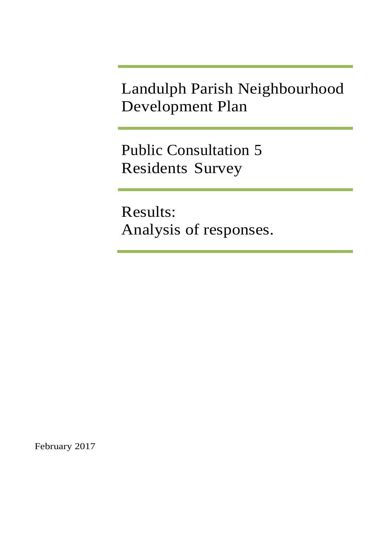Landulph Parish Neighbourhood Development Plan

Public Consultation 5 Residents Survey

Results: Analysis of responses.

February 2017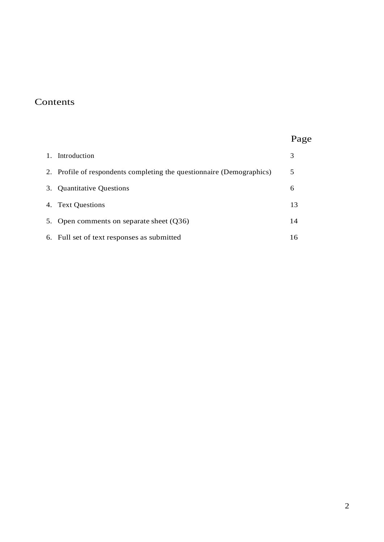# **Contents**

# Page

| 1. Introduction                                                       |     |
|-----------------------------------------------------------------------|-----|
| 2. Profile of respondents completing the questionnaire (Demographics) | 5   |
| 3. Quantitative Questions                                             | 6   |
| 4. Text Questions                                                     | 13  |
| 5. Open comments on separate sheet (Q36)                              | 14  |
| 6. Full set of text responses as submitted                            | 16. |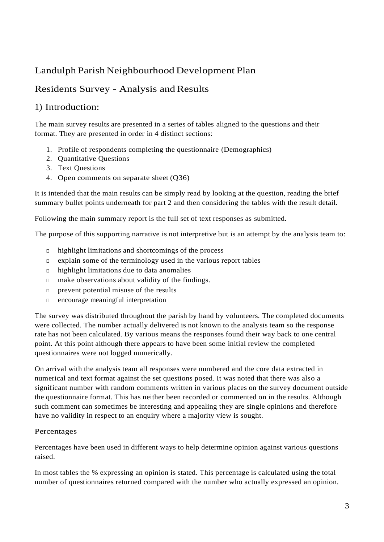# Landulph Parish Neighbourhood Development Plan

# Residents Survey - Analysis and Results

## <span id="page-2-0"></span>1) Introduction:

The main survey results are presented in a series of tables aligned to the questions and their format. They are presented in order in 4 distinct sections:

- 1. Profile of respondents completing the questionnaire (Demographics)
- 2. Quantitative Questions
- 3. Text Questions
- 4. Open comments on separate sheet (Q36)

It is intended that the main results can be simply read by looking at the question, reading the brief summary bullet points underneath for part 2 and then considering the tables with the result detail.

Following the main summary report is the full set of text responses as submitted.

The purpose of this supporting narrative is not interpretive but is an attempt by the analysis team to:

- □ highlight limitations and shortcomings of the process
- □ explain some of the terminology used in the various report tables
- $\Box$  highlight limitations due to data anomalies
- □ make observations about validity of the findings.
- □ prevent potential misuse of the results
- □ encourage meaningful interpretation

The survey was distributed throughout the parish by hand by volunteers. The completed documents were collected. The number actually delivered is not known to the analysis team so the response rate has not been calculated. By various means the responses found their way back to one central point. At this point although there appears to have been some initial review the completed questionnaires were not logged numerically.

On arrival with the analysis team all responses were numbered and the core data extracted in numerical and text format against the set questions posed. It was noted that there was also a significant number with random comments written in various places on the survey document outside the questionnaire format. This has neither been recorded or commented on in the results. Although such comment can sometimes be interesting and appealing they are single opinions and therefore have no validity in respect to an enquiry where a majority view is sought.

## Percentages

Percentages have been used in different ways to help determine opinion against various questions raised.

In most tables the % expressing an opinion is stated. This percentage is calculated using the total number of questionnaires returned compared with the number who actually expressed an opinion.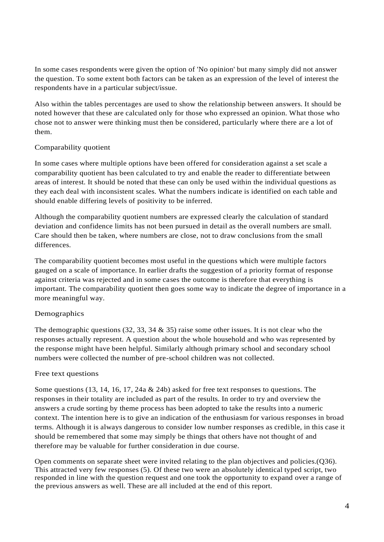In some cases respondents were given the option of 'No opinion' but many simply did not answer the question. To some extent both factors can be taken as an expression of the level of interest the respondents have in a particular subject/issue.

Also within the tables percentages are used to show the relationship between answers. It should be noted however that these are calculated only for those who expressed an opinion. What those who chose not to answer were thinking must then be considered, particularly where there are a lot of them.

## Comparability quotient

In some cases where multiple options have been offered for consideration against a set scale a comparability quotient has been calculated to try and enable the reader to differentiate between areas of interest. It should be noted that these can only be used within the individual questions as they each deal with inconsistent scales. What the numbers indicate is identified on each table and should enable differing levels of positivity to be inferred.

Although the comparability quotient numbers are expressed clearly the calculation of standard deviation and confidence limits has not been pursued in detail as the overall numbers are small. Care should then be taken, where numbers are close, not to draw conclusions from the small differences.

The comparability quotient becomes most useful in the questions which were multiple factors gauged on a scale of importance. In earlier drafts the suggestion of a priority format of response against criteria was rejected and in some cases the outcome is therefore that everything is important. The comparability quotient then goes some way to indicate the degree of importance in a more meaningful way.

## Demographics

The demographic questions (32, 33, 34  $\&$  35) raise some other issues. It is not clear who the responses actually represent. A question about the whole household and who was represented by the response might have been helpful. Similarly although primary school and secondary school numbers were collected the number of pre-school children was not collected.

## Free text questions

Some questions (13, 14, 16, 17, 24a & 24b) asked for free text responses to questions. The responses in their totality are included as part of the results. In order to try and overview the answers a crude sorting by theme process has been adopted to take the results into a numeric context. The intention here is to give an indication of the enthusiasm for various responses in broad terms. Although it is always dangerous to consider low number responses as credible, in this case it should be remembered that some may simply be things that others have not thought of and therefore may be valuable for further consideration in due course.

Open comments on separate sheet were invited relating to the plan objectives and policies.(Q36). This attracted very few responses (5). Of these two were an absolutely identical typed script, two responded in line with the question request and one took the opportunity to expand over a range of the previous answers as well. These are all included at the end of this report.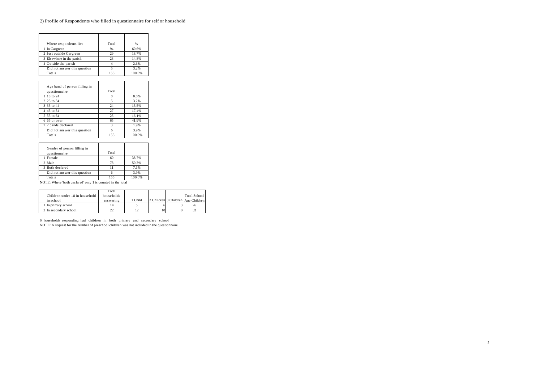#### 2) Profile of Respondents who filled in questionnaire for self or household

| Where respondents live       | Total | $\frac{9}{6}$ |
|------------------------------|-------|---------------|
| In Cargreen                  | 94    | 60.6%         |
| 2 Just outside Cargreen      | 29    | 18.7%         |
| 3 Elsewhere in the parish    | 23    | 14.8%         |
| 4 Outside the parish         |       | 2.6%          |
| Did not answer this question |       | 3.2%          |
| Totals                       | 155   | 100.0%        |

| Age band of person filling in<br>questionnaire | Total |        |
|------------------------------------------------|-------|--------|
| 18 to 24                                       |       | 0.0%   |
| 25 to 34                                       | 5     | 3.2%   |
| 3 35 to 44                                     | 24    | 15.5%  |
| 45 to 54                                       | 27    | 17.4%  |
| 5 55 to 64                                     | 25    | 16.1%  |
| 65 or over                                     | 65    | 41.9%  |
| 2 bands declared                               | 3     | 1.9%   |
| Did not answer this question                   | 6     | 3.9%   |
| Totals                                         | 155   | 100.0% |

| Gender of person filling in<br>questionnaire | Total |        |
|----------------------------------------------|-------|--------|
| Female                                       | 60    | 38.7%  |
| Male                                         | 78    | 50.3%  |
| 3 Both declared                              |       | 7.1%   |
| Did not answer this question                 | n     | 3.9%   |
| Totals                                       | 155   | 100.0% |

NOTE: Where 'both declared' only 1 is counted in the total

|                                | Total      |         |    |                                    |
|--------------------------------|------------|---------|----|------------------------------------|
| Children under 18 in household | households |         |    | Total School                       |
| in school                      | ans wering | 1 Child |    | 2 Children 3 Children Age Children |
| In primary school              |            |         |    |                                    |
| 2 In secondary school          |            |         | 10 |                                    |

6 households responding had children in both primary and secondary school NOTE: A request for the number of preschool children was not included in the questionnaire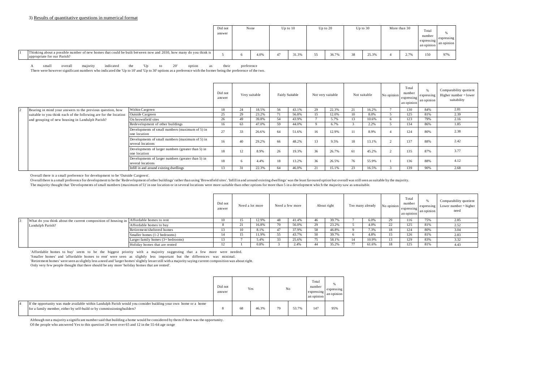|                                                                                                                                                 | Did not<br>answer | None |      |    | $Up$ to $10$ | Up to $20$ |    | $Up$ to $30$ | More than 30 |                                      | Total<br>number<br>expressing<br>an opinion | expressing<br>an opinion |
|-------------------------------------------------------------------------------------------------------------------------------------------------|-------------------|------|------|----|--------------|------------|----|--------------|--------------|--------------------------------------|---------------------------------------------|--------------------------|
| Thinking about a possible number of new homes that could be built between now and 2030, how many do you think is<br>appropriate for our Parish? |                   |      | 4.0% | 47 | 31.3%        | 36.7%      | 38 | 25.3%        |              | $\Delta$ 70<br>$\angle$ . $\sqrt{2}$ | 150                                         | 97%                      |

A small overall majority indicated the 'Up to 20' option as their preference

There were however significant numbers who indicated the 'Up to 10' and 'Up to 30' options as a preference with the former being the preference of the two.

|                                                                  |                                                                         | Did not<br>answer |    | Very suitable |    | Fairly Suitable |    | Not very suitable |    | Not suitable | No opinion | Total<br>number<br>expressing<br>an opinion | expressing<br>an opinion | Comparability quotient<br>Higher number $=$ lower<br>suitability |
|------------------------------------------------------------------|-------------------------------------------------------------------------|-------------------|----|---------------|----|-----------------|----|-------------------|----|--------------|------------|---------------------------------------------|--------------------------|------------------------------------------------------------------|
| Bearing in mind your answers to the previous question, how       | Within Cargreen                                                         | 18                | 24 | 18.5%         | 56 | 43.1%           | 29 | 22.3%             | 21 | 16.2%        |            | 130                                         | 84%                      | 2.81                                                             |
| suitable to you think each of the following are for the location | <b>Outside Cargreen</b>                                                 | 25                | 29 | 23.2%         | 71 | 56.8%           | 15 | 12.0%             | 10 | 8.0%         |            | 125                                         | 81%                      | 2.39                                                             |
| and grouping of new housing in Landulph Parish?                  | On brownfield sites                                                     | 26                | 49 | 39.8%         | 54 | 43.9%           |    | 5.7%              | 13 | 10.6%        |            | 123                                         | 79%                      | 2.16                                                             |
|                                                                  | Redevelopment of other buildings                                        | 16                | 63 | 47.0%         | 59 | 44.0%           |    | 6.7%              |    | 2.2%         |            | 134                                         | 86%                      | 1.85                                                             |
|                                                                  | Developments of small numbers (maximum of 5) in<br>one location         | 27                | 33 | 26.6%         | 64 | 51.6%           | 16 | 12.9%             | 11 | 8.9%         |            | 124                                         | 80%                      | 2.38                                                             |
|                                                                  | Developments of small numbers (maximum of 5) in<br>several locations    | 16                | 40 | 29.2%         | 66 | 48.2%           | 13 | 9.5%              | 18 | 13.1%        |            | 137                                         | 88%                      | 2.42                                                             |
|                                                                  | Developments of larger numbers (greater than 5) in<br>one location      | 18                | 12 | 8.9%          | 26 | 19.3%           | 36 | 26.7%             | 61 | 45.2%        |            | 135                                         | 87%                      | 3.77                                                             |
|                                                                  | Developments of larger numbers (greater than 5) in<br>several locations | 18                |    | 4.4%          | 18 | 13.2%           | 36 | 26.5%             | 76 | 55.9%        |            | 136                                         | 88%                      | 4.12                                                             |
|                                                                  | Infill in and around existing dwellings                                 | 13                | 31 | 22.3%         | 64 | 46.0%           |    | 15.1%             | 23 | 16.5%        |            | 139                                         | 90%                      | 2.68                                                             |

Overall there is a small preference for development to be 'Outside Cargreen'. Overall there is a small preference for development to be 'Outside Cargreen'.

Overall there is a small preference for development to be the 'Redevelopment of other buildings' rather than using 'Brownfield sites'. 'Infill in and around existing dwellings' was the least favoured option but overall was

The majority thought that 'Developments of small numbers (maximum of 5)' in one location or in several locations were more suitable than other options for more than 5 in a development which the majority saw as unsuitable.

|                                                                                        |                                             | Did not<br>answer |    | Need a lot more |    | Need a few more |    | About right | Too many already |       | No opinion | Total<br>number<br>expressing<br>an opinion | expressing<br>an opinion | Comparability quotient<br>Lower number $=$ higher<br>need |
|----------------------------------------------------------------------------------------|---------------------------------------------|-------------------|----|-----------------|----|-----------------|----|-------------|------------------|-------|------------|---------------------------------------------|--------------------------|-----------------------------------------------------------|
| What do you think about the current composition of housing in Affordable homes to rent |                                             | 10                |    | 12.9%           | 48 | 41.4%           |    | 39.7%       |                  | 6.0%  |            | 116                                         | 75%                      | 2.85                                                      |
| Landulph Parish?                                                                       | Affordable homes to buy                     |                   | 44 | 16.8%           | 70 | 56.0%           | 29 | 23.2%       |                  | 4.0%  | 44         | 125                                         | 81%                      | 2.52                                                      |
|                                                                                        | Retirement/sheltered homes                  |                   | 10 | 8.1%            | 47 | 37.9%           | 58 | 46.8%       |                  | 7.3%  | 18         | 124                                         | 80%                      | 3.04                                                      |
|                                                                                        | Smaller homes (1-2 bedrooms)                |                   |    | 11.9%           | 55 | 43.7%           | 50 | 39.7%       |                  | 4.8%  | 15         | 126                                         | 81%                      | 2.83                                                      |
|                                                                                        | Larger family homes $(3 + \text{bedrooms})$ |                   |    | 5.4%            | 33 | 25.6%           | 75 | 58.1%       | -14              | 10.9% | 13         | 129                                         | 83%                      | 3.32                                                      |
|                                                                                        | Holiday homes that are rented               | $\sim$            |    | 0.8%            |    | 2.4%            | 44 | 35.2%       |                  | 61.6% | 18         | 125                                         | 81%                      | 4.43                                                      |

'Affordable homes to buy' seem to be the biggest priority with a majority suggesting that a few more were needed. 'Smaller homes' and 'affordable homes to rent' were seen as slightly less important but the differences was minimal. 'Retirement homes' were seen as slightly less a need and 'larger homes'slightly lesserstill with a majority saying current composition was about right. Only very few people thought that there should be any more 'holiday homes that are rented'.

|                                                                                                                                                                                             | Did not<br>answer |    | Yes   |    | No    | Total<br>number<br>expressing<br>an opinion | expressing<br>an opinion |
|---------------------------------------------------------------------------------------------------------------------------------------------------------------------------------------------|-------------------|----|-------|----|-------|---------------------------------------------|--------------------------|
| If the opportunity was made available within Landulph Parish would you consider building your own home or a home<br>for a family member, either by self-build or by commissioning builders? | х                 | 68 | 46.3% | 79 | 53.7% | 147                                         | 95%                      |

Although not a majority a significant number said that building a home would be considered by them if there was the opportunity. Of the people who answered Yes to this question 28 were over 65 and 12 in the 55-64 age range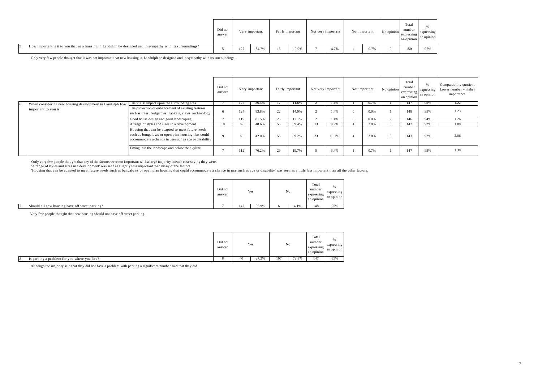|                                                                                                            | Did not<br>answer |     | Very important | Fairly important | Not very important | Not important | No opinion | Total<br>number<br>expressing<br>an opinion | expressing<br>an opinion |
|------------------------------------------------------------------------------------------------------------|-------------------|-----|----------------|------------------|--------------------|---------------|------------|---------------------------------------------|--------------------------|
| How important is it to you that new housing in Landulph be designed and in sympathy with its surroundings? |                   | 127 | 84.7%          | 10.0%            | 4.7%               | 0.7%          |            | 150                                         |                          |

Only very few people thought that it was not important that new housing in Landulph be designed and in sympathy with its surroundings.

|                                                                                                      |                                                                                                                                                                | Did not<br>answer |     | Very important |    | Fairly important |    | Not very important | Not important | No opinion | Total<br>number<br>expressing<br>an opinion | expressing<br>an opinion | Comparability quotient<br>Lower number $=$ higher<br>importance |
|------------------------------------------------------------------------------------------------------|----------------------------------------------------------------------------------------------------------------------------------------------------------------|-------------------|-----|----------------|----|------------------|----|--------------------|---------------|------------|---------------------------------------------|--------------------------|-----------------------------------------------------------------|
| When considering new housing development in Landulph how The visual impact upon the surrounding area |                                                                                                                                                                |                   | 127 | 86.4%          |    | 11.6%            |    | 1.4%               | 0.7%          |            | 147                                         | 95%                      | 1.22                                                            |
| important to you is:                                                                                 | The protection or enhancement of existing features<br>such as trees, hedgerows, habitats, views, archaeology                                                   |                   | 124 | 83.8%          | 22 | 14.9%            |    | 1.4%               | 0.0%          |            | 148                                         | 95%                      | 1.23                                                            |
|                                                                                                      | Good house design and good landscaping                                                                                                                         |                   | 119 | 81.5%          | 25 | 17.1%            |    | 1.4%               | 0.0%          |            | 146                                         | 94%                      | 1.26                                                            |
|                                                                                                      | A range of styles and sizes in a development                                                                                                                   | 10                | 69  | 48.6%          | 56 | 39.4%            | 13 | 9.2%               | 2.8%          |            | 142                                         | 92%                      | 1.88                                                            |
|                                                                                                      | Housing that can be adapted to meet future needs<br>such as bungalows or open plan housing that could<br>accommodate a change in use such as age or disability |                   | 60  | 42.0%          | 56 | 39.2%            | 23 | 16.1%              | 2.8%          |            | 143                                         | 92%                      | 2.06                                                            |
|                                                                                                      | Fitting into the landscape and below the skyline                                                                                                               |                   | 112 | 76.2%          | 29 | 19.7%            |    | 3.4%               | 0.7%          |            | 147                                         | 95%                      | 1.38                                                            |

Only very few people thought that any of the factors were not important with a large majority in each case saying they were.<br>'A range of styles and sizes in a development' was seen as slightly less important than many of t

'Housing that can be adapted to meet future needs such as bungalows or open plan housing that could accommodate a change in u se such as age or disability' was seen as a little less important than all the other factors.

|                                                 | Did not<br>answer |     | Yes   | No   | Total<br>number<br>expressing<br>an opinion | expressing<br>an opinion |
|-------------------------------------------------|-------------------|-----|-------|------|---------------------------------------------|--------------------------|
| Should all new housing have off street parking? |                   | 142 | 95.9% | 4.1% | 148                                         | 95%                      |

Very few people thought that new housing should not have off street parking.

|   |                                              | Did not<br>answer |    | Yes   |     | $\rm No$ | Total<br>number<br>expressing<br>an opinion | expressing<br>an opinion |
|---|----------------------------------------------|-------------------|----|-------|-----|----------|---------------------------------------------|--------------------------|
| 8 | Is parking a problem for you where you live? |                   | 40 | 27.2% | 107 | 72.8%    | 147                                         | 95%                      |

Although the majority said that they did not have a problem with parking a significant number said that they did.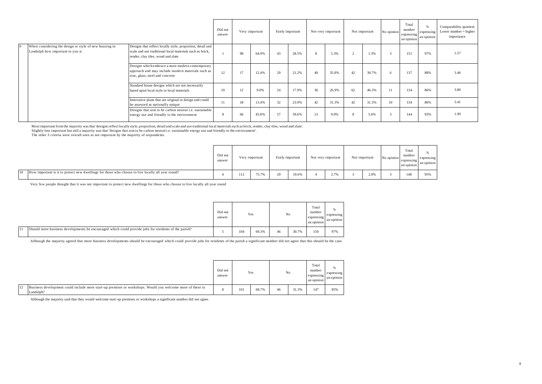|                                                                                            |                                                                                                                                                              | Did not<br>Very important<br>Fairly important<br>answer |    |       | Not very important |       | Not important | No opinion | Total<br>number<br>expressing<br>an opinion | expressing<br>an opinion | Comparability quotient<br>Lower number $=$ higher<br>importance |     |     |      |
|--------------------------------------------------------------------------------------------|--------------------------------------------------------------------------------------------------------------------------------------------------------------|---------------------------------------------------------|----|-------|--------------------|-------|---------------|------------|---------------------------------------------|--------------------------|-----------------------------------------------------------------|-----|-----|------|
| When considering the design or style of new housing in<br>Landulph how important to you is | Designs that reflect locally style, proportion, detail and<br>scale and use traditional local materials such as brick.<br>render, clay tiles, wood and slate |                                                         | 98 | 64.9% | 43                 | 28.5% | 8             | 5.3%       | $\sim$                                      | 1.3%                     |                                                                 | 151 | 97% | 1.57 |
|                                                                                            | Designs which embrace a more modern contemporary<br>approach and may include modern materials such as<br>zinc, glass, steel and concrete                     | 12                                                      | 17 | 12.4% | 29                 | 21.2% | 49            | 35.8%      | 42                                          | 30.7%                    | 6                                                               | 137 | 88% | 3.46 |
|                                                                                            | Standard house designs which are not necessarily<br>based upon local style or local materials                                                                | 10                                                      | 12 | 9.0%  | 24                 | 17.9% | 36            | 26.9%      | 62                                          | 46.3%                    | 11                                                              | 134 | 86% | 3.80 |
|                                                                                            | Innovative plans that are original in design and could<br>be assessed as nationally unique                                                                   | 11                                                      | 18 | 13.4% | 32                 | 23.9% | 42            | 31.3%      | 42                                          | 31.3%                    | 10                                                              | 134 | 86% | 3.41 |
|                                                                                            | Designs that aim to be carbon neutral i.e. sustainable<br>energy use and friendly to the environment                                                         | 8                                                       | 66 | 45.8% | 57                 | 39.6% | 13            | 9.0%       | 8                                           | 5.6%                     | 3                                                               | 144 | 93% | 1.99 |

Most important from the majority was that 'designs reflect locally style, proportion, detail and scale and use traditional local materials such as brick, render, clay tiles, wood and slate'.<br>Slightly less important but sti

The other 3 criteria were overall seen as not important by the majority of respondents.

|    |                                                                                                   | Did not<br>answer |     | Very important |              | Fairly important | Not very important | Not important | No opinion | Total<br>number<br>expressing<br>an opinion | expressing<br>an opinion |
|----|---------------------------------------------------------------------------------------------------|-------------------|-----|----------------|--------------|------------------|--------------------|---------------|------------|---------------------------------------------|--------------------------|
| 10 | How important is it to protect new dwellings for those who choose to live locally all year round? |                   | 112 | 75.7%          | $\Omega$<br> | 19.6%            | 2.7%               | 2.0%          |            | 148                                         | 95%                      |

Very few people thought that it was not important to protect new dwellings for those who choose to live locally all year round

|    |                                                                                                       | Did not<br>answer |     | Yes   |    | No    | Total<br>number<br>expressing<br>an opinion | expressing<br>an opinion |
|----|-------------------------------------------------------------------------------------------------------|-------------------|-----|-------|----|-------|---------------------------------------------|--------------------------|
| 11 | Should more business developments be encouraged which could provide jobs for residents of the parish? |                   | 104 | 69.3% | 46 | 30.7% | 150                                         | 97%                      |

Although the majority agreed that more business developments should be encouraged which could provide jobs for residents of the parish a significant number did not agree that this should be the case.

|                                                                                                                               | Did not<br>answer |     | Yes   |    | No    | Total<br>number<br>expressing<br>an opinion | expressing<br>an opinion |
|-------------------------------------------------------------------------------------------------------------------------------|-------------------|-----|-------|----|-------|---------------------------------------------|--------------------------|
| 12<br>Business development could include more start-up premises or workshops. Would you welcome more of these in<br>Landulph? | ×                 | 101 | 68.7% | 46 | 31.3% | 147                                         | 95%                      |

Although the majority said that they would welcome start-up premises or workshops a significant number did not agree.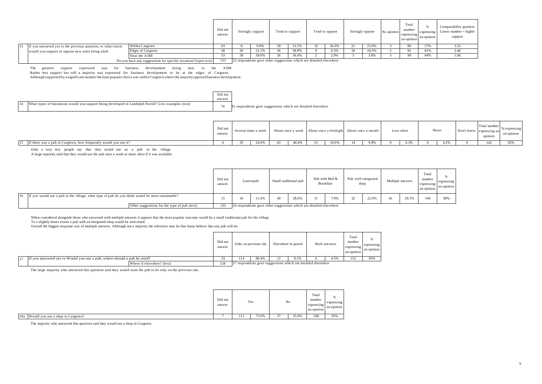|    |                                                              |                                                                | Did not<br>answer | Strongly support | Tend to support                                                    | Tend to oppose | Strongly oppose |       | No opinion | Total<br>number<br>expressing<br>an opinion | expressing<br>an opinion | Comparability quotient<br>Lower number $=$ higher<br>support |
|----|--------------------------------------------------------------|----------------------------------------------------------------|-------------------|------------------|--------------------------------------------------------------------|----------------|-----------------|-------|------------|---------------------------------------------|--------------------------|--------------------------------------------------------------|
| 13 | If you answered yes to the previous question, to what extent | Within Cargreen                                                |                   | 9.0%             | 31.5%                                                              | 36.0%          |                 | 23.6% |            | 89                                          | 57%                      |                                                              |
|    | would you support or oppose new units being sited            | Edges of Cargreen                                              |                   | 21.1%            | 58.9%                                                              | 9.5%           |                 | 10.5% |            |                                             | 61%                      | 2.46                                                         |
|    |                                                              | Near the A388                                                  |                   | 58.6%            | 36.4%                                                              | 2.0%           |                 | 3.0%  |            |                                             | 64%                      | 1.66                                                         |
|    |                                                              | Do you have any suggestions for specific locations?(open text) | 133               |                  | 22 respondents gave other suggestions which are detailed elsewhere |                |                 |       |            |                                             |                          |                                                              |

The greatest support expressed was for business development being near to the A388

Rather less support but still a majority was expressed for business development to be at the edges of Cargreen

Although supported by a significant number the least popular choice was within Cargreen where the majority opposed business development.

|    |                                                                                                     | Did not |                                                              |
|----|-----------------------------------------------------------------------------------------------------|---------|--------------------------------------------------------------|
|    |                                                                                                     | answer  |                                                              |
| 14 | What types of businesses would you support being developed in Landulph Parish? Give examples (text) |         | 81 respondents gave suggestions which are detailed elsewhere |

|                                                                        | Did not<br>answer | Several times a week |       |       | About once a week About once a fortnight |       | About once a month | Less often | Never | Don't know | 'otal numb<br>expressing a<br>opinion | an opinion |
|------------------------------------------------------------------------|-------------------|----------------------|-------|-------|------------------------------------------|-------|--------------------|------------|-------|------------|---------------------------------------|------------|
| If there was a pub in Cargreen, how frequently would you use it?<br>15 |                   |                      | 24.6% | 44.4% |                                          | 10.6% | 9.9%               | 6.3%       | 4.2%  |            | 142                                   |            |

Only a very few people say that they would not us a pub in the village.

A large majority said that they would use the pub once a week or more often if it was available.

|  |                                                                                                 | Did not<br>answer |    | Gastropub |                                                                    | Small traditional pub | Pub with Bed &<br>Breakfast | shop | Pub with integrated | Multiple answers |       | Total<br>number<br>expressing<br>an opinion | expressing<br>an opinion |
|--|-------------------------------------------------------------------------------------------------|-------------------|----|-----------|--------------------------------------------------------------------|-----------------------|-----------------------------|------|---------------------|------------------|-------|---------------------------------------------|--------------------------|
|  | If you would use a pub in the village, what type of pub do you think would be most sustainable? |                   | 16 | 11.4%     | 40                                                                 | 28.6%                 | 7.9%                        |      | 22.9%               | 41               | 29.3% | 140                                         | 90%                      |
|  | Other suggestions for the type of pub (text)                                                    | 135               |    |           | 20 respondents gave other suggestions which are detailed elsewhere |                       |                             |      |                     |                  |       |                                             |                          |

When considered alongside those who answered with multiple answers it appears that the most popular outcome would be a small traditional pub for the village

To a slightly lesser extent a pub with an integrated shop would be welcomed.

Overall the biggest response was of multiple answers. Although not a majority the inference may be that many believe that any pub will do.

|                                                                          |                            | Did not<br>answer |                                                              | Only on previous site | Elsewhere in parish | Both answers | Total<br>number<br>expressing<br>an opinion | expressing<br>an opinion |
|--------------------------------------------------------------------------|----------------------------|-------------------|--------------------------------------------------------------|-----------------------|---------------------|--------------|---------------------------------------------|--------------------------|
| If you answered yes to Would you use a pub, where should a pub be sited? |                            | n.<br>دے          | 114                                                          | 86.4%                 | 9.1%                | 4.5%         | 132                                         | 85%                      |
|                                                                          | Where if elsewhere? (text) | 128               | 27 respondents gave suggestions which are detailed elsewhere |                       |                     |              |                                             |                          |

The large majority who answered this question said they would want the pub to be only on the previous site.

|                                       | Did not<br>answer |     | Yes   |           | No    | Total<br>number<br>expressing<br>an opinion | expressing<br>an opinion |
|---------------------------------------|-------------------|-----|-------|-----------|-------|---------------------------------------------|--------------------------|
| 18a Would you use a shop in Cargreen? |                   | 111 | 75.0% | ×.<br>.,, | 25.0% | 148                                         | 95%                      |

The majority who answered this question said they would use a shop in Cargreen.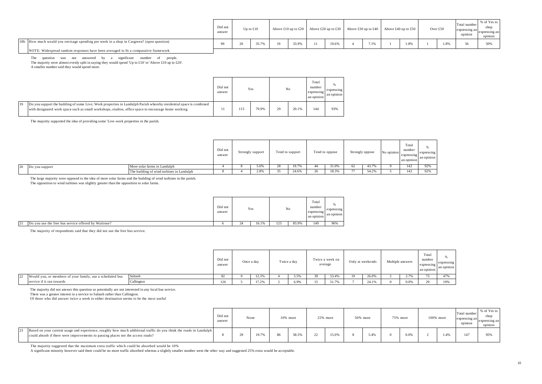|                                                                                          | Did not<br>answer | Up to $£10$ |       |       | Above £10 up to £20 Above £20 up to £30 Above £30 up to £40 |       |               | Above £40 up to £50 |      | Over £50 |      | Total number<br>expressing an<br>opinion | % of Yes to<br>expressing an<br>opinion |
|------------------------------------------------------------------------------------------|-------------------|-------------|-------|-------|-------------------------------------------------------------|-------|---------------|---------------------|------|----------|------|------------------------------------------|-----------------------------------------|
| 18b How much would you envisage spending per week in a shop in Cargreen? (open question) | $\Omega$          |             | 35.7% | 33.9% |                                                             | 19.6% | $\sim$<br>.1% |                     | 1.8% |          | 1.8% |                                          | 5004                                    |
| NOTE: Widespread random responses have been averaged to fit a comparative framework      |                   |             |       |       |                                                             |       |               |                     |      |          |      |                                          |                                         |

The question was not answered by a significant number of people. The majority were almost evenly split in saying they would spend 'Up to £10' or 'Above £10 up to £20'. A smaller number said they would spend more.

|    |                                                                                                                                                                                                                           | Did not<br>answer | Yes |       |    | No    | Total<br>number<br>expressing<br>an opinion | %<br>expressing<br>an opinion |
|----|---------------------------------------------------------------------------------------------------------------------------------------------------------------------------------------------------------------------------|-------------------|-----|-------|----|-------|---------------------------------------------|-------------------------------|
| 19 | Do you support the building of some Live; Work properties in Landulph Parish whereby residential space is combined<br>with designated work space such as small workshops, studios, office space to encourage home working |                   | 115 | 79.9% | 29 | 20.1% | 144                                         | 93%                           |

The majority supported the idea of providing some 'Live-work properties in the parish.

|    |                |                                           | Did not<br>answer<br>. | Strongly support |    | Tend to support | Tend to oppose | Strongly oppose |       | No opinion | Total<br>number<br>expressing<br>an opinion | expressing<br>an opinion |
|----|----------------|-------------------------------------------|------------------------|------------------|----|-----------------|----------------|-----------------|-------|------------|---------------------------------------------|--------------------------|
| 20 | Do you support | More solar farms in Landulph              |                        | 5.6%             | 40 | 19.7%           | 31.0%          |                 | 43.7% |            | 142                                         | 92%                      |
|    |                | The building of wind turbines in Landulph |                        | 2.8%             |    | 24.6%           | 18.3%          |                 | 54.2% |            | 142                                         | 92%                      |

The large majority were opposed to the idea of more solar farms and the building of wind turbines in the parish. The opposition to wind turbines was slightly greater than the opposition to solar farms. The opposition to wind turbines was slightly greater than the opposition to solar farms.

|                                                            | Did not<br>answer |         | Yes   |     | No    | Total<br>number<br>expressin<br>an opinion | expressing<br>an opinion |
|------------------------------------------------------------|-------------------|---------|-------|-----|-------|--------------------------------------------|--------------------------|
| 21<br>Do you use the free bus service offered by Waitrose? |                   | $^{24}$ | 16.1% | 125 | 83.9% | 149                                        | 96%                      |

The majority of respondents said that they did not use the free bus service.

|                                                                  |            | Did not<br>answer | Once a day | Twice a day | average | Twice a week on | Only at weekends | Multiple answers |              | Total<br>number<br>expressing<br>an opinion | expressing<br>an opinion |
|------------------------------------------------------------------|------------|-------------------|------------|-------------|---------|-----------------|------------------|------------------|--------------|---------------------------------------------|--------------------------|
| 122<br>Would you, or members of your family, use a scheduled bus | Saltash    |                   | 12.3%      | 5.5%        |         | 53.4%           | 26.0%            |                  | $\angle$ . I |                                             | 47%                      |
| service if it ran towards                                        | Callington | 126               | 17.2%      | 6.9%        | 15      | 51.7%           | 24.1%            |                  | 0.0%         |                                             | 100'                     |

The majority did not answer this question so potentially are not interested in any local bus service. There was a greater interest in a service to Saltash rather than Callington.

Of those who did answer twice a week to either destination seems to be the most useful

|                                                                                                                                                                                                       | Did not<br>answer | None |       |    | $10\%$ more |              | 25% more | $50\%$ more |     | 75% more | 100% more | Total number<br>expressing an<br>$\cdots$<br>opinion | % of Yes to<br>shop<br>expressing an<br>opinion |
|-------------------------------------------------------------------------------------------------------------------------------------------------------------------------------------------------------|-------------------|------|-------|----|-------------|--------------|----------|-------------|-----|----------|-----------|------------------------------------------------------|-------------------------------------------------|
| Based on your current usage and experience, roughly how much additional traffic do you think the roads in Landulph<br>could absorb if there were improvements to passing places not the access roads? |                   |      | 19.7% | 86 | 58.5%       | $\sim$<br>22 | 15.0%    |             | A01 | 0.0%     | 1.4%      |                                                      | 05%                                             |

The majority suggested that the maximum extra traffic which could be absorbed would be 10%

A significant minority however said there could be no more traffic absorbed whereas a slightly smaller number went the other way and suggested 25% extra would be acceptable.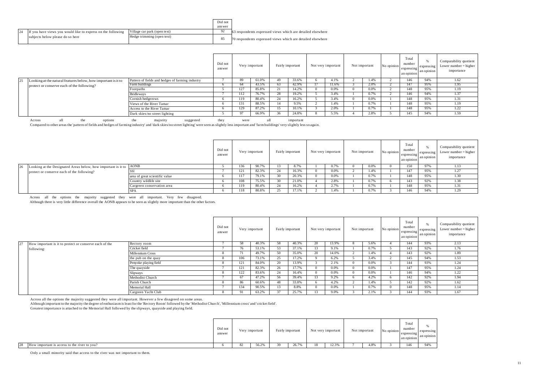|                                                              |                              | Did not |                                                             |
|--------------------------------------------------------------|------------------------------|---------|-------------------------------------------------------------|
|                                                              |                              | answer  |                                                             |
| If you have views you would like to express on the following | Village car park (open text) | 92      | 63 respondents expressed views which are detailed elsewhere |
| subjects below please do so here                             | Hedge trimming (open text)   | 85      | 70 respondents expressed views which are detailed elsewhere |

|                                                                  |                                                  | Did not<br>answer |     | Very important |        | Fairly important | Not very important | Not important | No opinion | Total<br>number<br>expressing<br>an opinion | expressing<br>an opinion | Comparability quotient<br>Lower number $=$ higher<br>importance |
|------------------------------------------------------------------|--------------------------------------------------|-------------------|-----|----------------|--------|------------------|--------------------|---------------|------------|---------------------------------------------|--------------------------|-----------------------------------------------------------------|
| 25 Looking at the natural features below, how important is it to | Pattern of fields and hedges of farming industry |                   | 89  | 61.0%          | 49     | 33.6%            | 4.1%               | 1.4%          |            | 146                                         | 94%                      | 1.62                                                            |
| protect or conserve each of the following?                       | Farm buildings                                   |                   | 64  | 43.5%          | 63     | 42.9%            | 11.6%              | 2.0%          |            | 147                                         | 95%                      | 1.95                                                            |
|                                                                  | Footpaths                                        |                   | 127 | 85.8%          | . Z. I | 14.2%            | 0.0%               | 0.0%          |            | 148                                         | 95%                      | 1.19                                                            |
|                                                                  | <b>Bridleways</b>                                |                   | 112 | 76.7%          | 28     | 19.2%            | 3.4%               | 0.7%          |            | 146                                         | 94%                      | 1.37                                                            |
|                                                                  | Cornish hedgerows                                |                   | 119 | 80.4%          | 24     | 16.2%            | 3.4%               | 0.0%          |            | 148                                         | 95%                      | 1.31                                                            |
|                                                                  | Views of the River Tamar                         |                   | 131 | 88.5%          |        | 9.5%             | 1.4%               | 0.7%          |            | 148                                         | 95%                      | 1.19                                                            |
|                                                                  | Access to the River Tamar                        |                   | 129 | 87.2%          |        | 10.1%            | 2.0%               | 0.7%          |            | 148                                         | 95%                      | 1.22                                                            |
|                                                                  | Dark skies/no street lighting                    |                   | 97  | 66.9%          |        | 24.8%            | 5.5%               | 2.8%          |            | 145                                         | 94%                      | 1.59                                                            |

Across all the options the majority suggested they were all important important<br>Compared to other areas the 'pattern of fields and hedges of farming industry' and 'dark skies/no street lighting' were seen as slightly less

|                                                                       |                                | Did not<br>answer |     | Very important |               | Fairly important | Not very important | Not important |      | No opinion | Total<br>number<br>expressing<br>an opinion | expressing<br>an opinion | Comparability quotient<br>Lower number $=$ higher<br>importance |
|-----------------------------------------------------------------------|--------------------------------|-------------------|-----|----------------|---------------|------------------|--------------------|---------------|------|------------|---------------------------------------------|--------------------------|-----------------------------------------------------------------|
| 26 Looking at the Designated Areas below, how important is it to AONB |                                |                   | 136 | 90.7%          |               | 8.7%             | 0.7%               |               | 0.0% |            | 150                                         | 97%                      | 1.13                                                            |
| protect or conserve each of the following?                            |                                |                   | 121 | 82.3%          |               | 16.3%            | 0.0%               |               | 1.4% |            |                                             | 95%                      | 1.27                                                            |
|                                                                       | area of great scientific value |                   | 117 | 79.1%          |               | 20.3%            | 0.0%               |               | 0.7% |            | 148                                         | 95%                      | 1.30                                                            |
|                                                                       | Country wildlife site          |                   | 108 | 75.5%          |               | 21.0%            | 2.8%               |               | 0.7% |            |                                             | 92%                      | 1.38                                                            |
|                                                                       | Cargreen conservation area     |                   | 119 | 80.4%          | $\sim$<br>-14 | 16.2%            | $\Delta$<br>2.7%   |               | 0.7% |            | 148                                         | 95%                      | 1.31                                                            |
|                                                                       | -SPA                           |                   | 118 | 80.8%          |               | 17.1%            | 1.4%               |               | 0.7% |            | 146                                         | 94%                      | 1.29                                                            |

Across all the options the majority suggested they were all important. Very few disagreed.<br>Although there is very little difference overall the AONB appears to be seen as slightly more important than the other factors.

|                                                           |                       | Did not<br>answer | Very important |       |    | Fairly important |              | Not very important | Not important | No opinion | Total<br>number<br>expressing<br>an opinion | expressing<br>an opinion | Comparability quotient<br>Lower number $=$ higher<br>importance |
|-----------------------------------------------------------|-----------------------|-------------------|----------------|-------|----|------------------|--------------|--------------------|---------------|------------|---------------------------------------------|--------------------------|-----------------------------------------------------------------|
| 27 How important is it to protect or conserve each of the | Rectory room          |                   | 58             | 40.3% | 58 | 40.3%            | 20           | 13.9%              | 5.6%          |            | 144                                         | 93%                      | 2.13                                                            |
| following:                                                | Cricket field         |                   | 76             | 53.1% | 53 | 37.1%            | $\sim$<br>13 | 9.1%               | 0.7%          |            | 143                                         | 92%                      | 1.76                                                            |
|                                                           | Millennium Cross      |                   | 71             | 49.7% | 50 | 35.0%            | 20           | 14.0%              | 1.4%          |            | 143                                         | 92%                      | 1.89                                                            |
|                                                           | the pub on the quay   |                   | 106            | 73.1% | 25 | 17.2%            |              | 6.2%               | 3.4%          |            | 145                                         | 94%                      | 1.53                                                            |
|                                                           | Penyoke playing field |                   | 121            | 84.0% | 20 | 13.9%            |              | 2.1%               | 0.0%          |            | 144                                         | 93%                      | 1.24                                                            |
|                                                           | The quayside          |                   | 121            | 82.3% | 26 | 17.7%            |              | 0.0%               | 0.0%          |            | 147                                         | 95%                      | 1.24                                                            |
|                                                           | <b>Slipways</b>       |                   | 122            | 83.6% | 24 | 16.4%            |              | 0.0%               | 0.0%          |            | 146                                         | 94%                      | 1.22                                                            |
|                                                           | Methodist Church      |                   | 67             | 47.2% | 56 | 39.4%            |              | 9.2%               | 4.2%          |            | 142                                         | 92%                      | 1.94                                                            |
|                                                           | Parish Church         |                   | 86             | 60.6% | 48 | 33.8%            | n            | 4.2%               | 1.4%          |            | 142                                         | 92%                      | 1.62                                                            |
|                                                           | Memorial Hall         |                   | 134            | 90.5% | 13 | 8.8%             |              | 0.0%               | 0.7%          |            | 148                                         | 95%                      | 1.14                                                            |
|                                                           | Cargreen Yacht Club   |                   | 91             | 63.2% | 37 | 25.7%            |              | 9.0%               | 2.1%          |            | 144                                         | 93%                      | 1.67                                                            |

Across all the options the majority suggested they were all important. However a few disagreed on some areas.<br>Although important to the majority the degree of enthusiasm is least for the 'Rectory Room' followed by the 'Met

|                                                    | Did not<br>answer |     | Very important | Fairly important |    | Not very important | Not important | No opinion | control.<br>Total<br>number<br>expressing<br>an opinion | expressing<br>an opinion |
|----------------------------------------------------|-------------------|-----|----------------|------------------|----|--------------------|---------------|------------|---------------------------------------------------------|--------------------------|
| 28<br>How important is access to the river to you? |                   | 82. | 56.2%          | 26.7%            | 10 | 12.3%              | 4.8%          |            | 146                                                     | 94%                      |

Only a small minority said that access to the river was not important to them. Only a small minority said that access to the river was not important to them.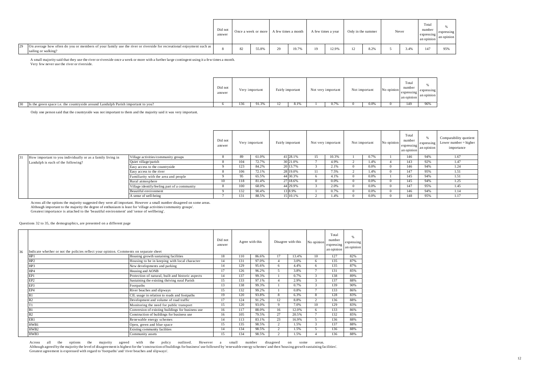|                                                                                                                                            | Did not<br>answer |    |       | Once a week or more A few times a month |       | A few times a year |       | Only in the summer | Never | Total<br>number<br>expressing<br>an opinion | expressing<br>an opinion |
|--------------------------------------------------------------------------------------------------------------------------------------------|-------------------|----|-------|-----------------------------------------|-------|--------------------|-------|--------------------|-------|---------------------------------------------|--------------------------|
| On average how often do you or members of your family use the river or riverside for recreational enjoyment such as<br>sailing or walking? |                   | 82 | 55.8% | $\gamma$                                | 19.7% |                    | 12.9% | 8.2%               | 3.4%  | 147                                         | 95%                      |

A small majority said that they use the river or riverside once a week or more with a further large contingent using it a few times a month.

Very few never use the river or riverside.

|                                                                                  | Did not<br>answer |     | Very important | Fairly important |      | Not very important | Not important |      | No opinion | Total<br>number<br>expressing<br>an opinion | expressing<br>an opinion |
|----------------------------------------------------------------------------------|-------------------|-----|----------------|------------------|------|--------------------|---------------|------|------------|---------------------------------------------|--------------------------|
| Is the green space i.e. the countryside around Landulph Parish important to you? |                   | 136 | 91.3%          |                  | 8.1% | 0.7%               |               | 0.0% |            | 149                                         | 060                      |

Only one person said that the countryside was not important to them and the majority said it was very important.

|                                                            |                                              | Did not<br>answer | Very important |       | Fairly important |          | Not very important |       | Not important |      | No opinion | Total<br>number<br>expressing<br>an opinion | expressing<br>an opinion | Comparability quotient<br>Lower number $=$ higher<br>importance |
|------------------------------------------------------------|----------------------------------------------|-------------------|----------------|-------|------------------|----------|--------------------|-------|---------------|------|------------|---------------------------------------------|--------------------------|-----------------------------------------------------------------|
| How important to you individually or as a family living in | Village activities/community groups          |                   | 89             | 61.0% |                  | 41 28.1% | 15                 | 10.3% |               | 0.7% |            | 146                                         | 94%                      | 1.67                                                            |
| Landulph is each of the following?                         | Quiet village/parish                         |                   | 104            | 72.7% |                  | 30 21.0% |                    | 4.9%  |               | 1.4% |            | 143                                         | 92%                      | 1.47                                                            |
|                                                            | Easy access to the countryside               |                   | 123            | 84.2% |                  | 20 13.7% |                    | 2.1%  |               | 0.0% |            | 146                                         | 94%                      | 1.24                                                            |
|                                                            | Easy access to the river                     |                   | 106            | 72.1% |                  | 28 19.0% | 11                 | 7.5%  |               | 1.4% |            | 147                                         | 95%                      | 1.51                                                            |
|                                                            | Familiarity with the area and people         |                   | 95             | 65.5% |                  | 44 30.3% |                    | 4.1%  |               | 0.0% |            | 145                                         | 94%                      | 1.51                                                            |
|                                                            | Rural atmosphere                             | 10                | 118            | 81.4% |                  | 27 18.6% |                    | 0.0%  |               | 0.0% |            | 145                                         | 94%                      | 1.25                                                            |
|                                                            | Village identify/feeling part of a community |                   | 100            | 68.0% |                  | 44 29.9% |                    | 2.0%  |               | 0.0% |            | 147                                         | 95%                      | 1.45                                                            |
|                                                            | Beautiful environment                        |                   | 132            | 90.4% |                  | 13 8.9%  |                    | 0.7%  |               | 0.0% |            | 146                                         | 94%                      | 1.14                                                            |
|                                                            | A sense of well-being                        |                   | 131            | 88.5% |                  | 15 10.1% |                    | 1.4%  |               | 0.0% |            | 148                                         | 95%                      | 1.17                                                            |

Across all the options the majority suggested they were all important. However a small number disagreed on some areas.

Although important to the majority the degree of enthusiasm is least for 'village activities/community groups'.

Greatest importance is attached to the 'beautiful environment' and 'sense of wellbeing'.

Questions 32 to 35, the demographics, are presented on a different page

| 36 | Indicate whether or not the policies reflect your opinion. Comments on separate sheet |                                                   | Did not<br>answer | Agree with this |       | Disagree with this |       | No opinion              | Total<br>number<br>expressing<br>an opinion | expressing<br>an opinion |
|----|---------------------------------------------------------------------------------------|---------------------------------------------------|-------------------|-----------------|-------|--------------------|-------|-------------------------|---------------------------------------------|--------------------------|
|    | HP1                                                                                   | Housing growth sustaining facilities              | 18                | 110             | 86.6% | 17                 | 13.4% | 10                      | 127                                         | 82%                      |
|    | HP <sub>2</sub>                                                                       | Housing to be in keeping with local character     | 14                | 131             | 97.0% | $\overline{4}$     | 3.0%  | 6                       | 135                                         | 87%                      |
|    | HP3                                                                                   | New developments and parking                      | 14                | 129             | 95.6% | 6                  | 4.4%  | 6                       | 135                                         | 87%                      |
|    | HP4                                                                                   | Housing and AONB                                  | 17                | 126             | 96.2% | 5                  | 3.8%  |                         | 131                                         | 85%                      |
|    | EP1                                                                                   | Protection of natural, built and historic aspects | 14                | 137             | 99.3% |                    | 0.7%  | $\mathcal{R}$           | 138                                         | 89%                      |
|    | EP <sub>2</sub>                                                                       | Sustaining the existing thriving rural Parish     | 15                | 133             | 97.1% | 4                  | 2.9%  | $\mathcal{R}$           | 137                                         | 88%                      |
|    | EP3                                                                                   | Footpaths                                         | 13                | 138             | 99.3% |                    | 0.7%  | 3                       | 139                                         | 90%                      |
|    | EP4                                                                                   | River beaches and slipways                        | 15                | 132             | 99.2% |                    | 0.8%  |                         | 133                                         | 86%                      |
|    | R1                                                                                    | CIL usage in relation to roads and footpaths      | 19                | 120             | 93.8% | 8                  | 6.3%  | 8                       | 128                                         | 83%                      |
|    | R <sub>2</sub>                                                                        | Development and volume of road traffic            | 17                | 124             | 91.2% | 12                 | 8.8%  | $\overline{\mathbf{c}}$ | 136                                         | 88%                      |
|    |                                                                                       | Monitoring the need for public transport          | 15                | 120             | 93.0% | 9                  | 7.0%  | 10                      | 129                                         | 83%                      |
|    | B1                                                                                    | Conversion of existing buildings for business use | 16                | 117             | 88.0% | 16                 | 12.0% | 6                       | 133                                         | 86%                      |
|    | B <sub>2</sub>                                                                        | Construction of buildings for business use        | 16                | 105             | 79.5% | 27                 | 20.5% |                         | 132                                         | 85%                      |
|    | ER1                                                                                   | Renewable energy schemes                          | 14                | 113             | 83.1% | 23                 | 16.9% | 5                       | 136                                         | 88%                      |
|    | HWB1                                                                                  | Open, green and blue space                        | 15                | 135             | 98.5% | 2                  | 1.5%  | $\mathbf{3}$            | 137                                         | 88%                      |
|    | HWB <sub>2</sub>                                                                      | Existing community facilities                     | 14                | 134             | 98.5% | $\overline{2}$     | 1.5%  |                         | 136                                         | 88%                      |
|    | HWB3                                                                                  | Community assets                                  | 15                | 134             | 98.5% | $\sim$             | 1.5%  |                         | 136                                         | 88%                      |

Across all the options the majority agreed with the policy outlined. However a small number disagreed on some areas. Although agreed by the majority the level of disagreement is highest for the 'construction of buildings for business' use followed by 'renewable energy schemes' and then 'housing growth sustaining facilities'. Greatest agreement is expressed with regard to 'footpaths' and 'river beaches and slipways'.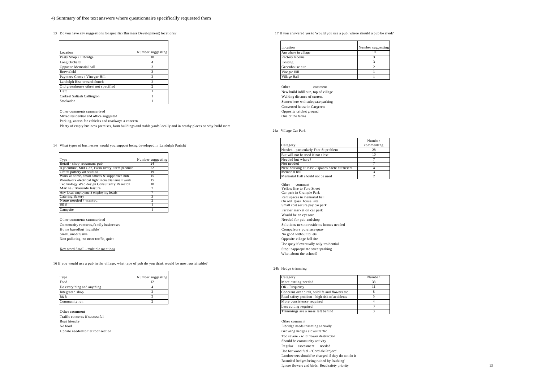13 Do you have any suggestions for specific (Business Development) locations? 17 If you any suggestions to Would you use a pub, where should a pub be sited?

| Location                           | Number suggesting |
|------------------------------------|-------------------|
| Pasty Shop / Elbridge              | 10                |
| Long Orchard                       |                   |
| Opposite Memorial hall             | 3                 |
| Brownfield                         | 3                 |
| Paynters Cross / Vinegar Hill      | 2                 |
| Landulph Rise toward church        | 2                 |
| Old greenhouse other/not specified | 2                 |
| Hatt                               |                   |
| Carkeel Saltash Callington         |                   |
| Stockadon                          |                   |

Other comments summarised Mixed residential and office suggested One of the farms Parking, access for vehicles and roadways a concern Plenty of empty business premises, farm buildings and stable yards locally and in nearby places so why build more

14 What types of businesses would you support being developed in Landulph Parish?

| Type                                            | Number suggesting |
|-------------------------------------------------|-------------------|
| Retail - shop restaurant pub                    |                   |
| Agriculture, Mkt Gdn, Farm livery, farm produce | 22                |
| Crafts pottery art studios                      | 19                |
| Work at home, small offices & supportive hub    | 15                |
| Woodwork electrical light industrial small work | ıэ                |
| Technology Web design Consultancy Research      | 10                |
| Marine / riverside leisure                      |                   |
| Any local employment employing locals           |                   |
| Catering Bakery                                 |                   |
| None needed / wanted                            |                   |
| B&B                                             |                   |
| Campsite                                        |                   |

Community ventures, family businesses<br>Home based but 'invisible' Small, unobtrusive No good without toilets No good without toilets Non polluting, no more traffic, quiet **Opposite village hallsite** Opposite village hall site

#### Key word Small - multiple mentions

16 If you would use a pub in the village, what type of pub do you think would be most sustainable?

| Type                       | Number suggesting |
|----------------------------|-------------------|
| Food                       |                   |
| Do everything and anything |                   |
| Integrated shop            |                   |
| B&B                        |                   |
| Community run              |                   |

Other comment Traffic concerns if successful Boat friendly Other comment

Update needed to flat roof section Growing hedges slows traffic

| Location             | Number suggesting |
|----------------------|-------------------|
| Anywhere in village  | 10                |
| <b>Rectory Rooms</b> |                   |
| Existing             |                   |
| Greenhouse site      |                   |
| Vine gar Hill        |                   |
| Village Hall         |                   |

Other comment New build infill site, top of village Walking distance of current Somewhere with adequate parking Converted house in Cargreen<br>Opposite cricket ground

#### 24a Village Car Park

|                                               | Number     |
|-----------------------------------------------|------------|
| Category                                      | commenting |
| Needed - particularly Fore St problem         | 28         |
| But will not be used if not close             | 10         |
| Needed but where?                             |            |
| Not needed                                    |            |
| New housing at least 2 spaces each/sufficient |            |
| Memorial hall                                 |            |
| Memorial Hall should not be used              |            |

Other comment Yellow line to Fore Street Car park in Crumple Park Rent spaces in memorial hall On old glass house site Small cost secure pay car park Farmer market on car park Would be an eyesore Other comments summarised<br>
Community ventures, family businesses<br>
Community ventures, family businesses Compulsory purchase quay Use quay if eventually only residential<br>Stop inappropriate street parking What about the school?

#### 24b Hedge trimming

| Category                                      | Number |
|-----------------------------------------------|--------|
| More cutting needed                           | 38     |
| OK - Frequency                                |        |
| Concerns over birds, wildlife and flowers etc |        |
| Road safety problem - high risk of accidents  |        |
| More consistency required                     |        |
| Less cutting required                         |        |
| Trimmings are a mess left behind              |        |

No food Elbridge needs trimming annually Too severe - wild flower destruction Should be community activity Regular assessment needed Use for wood fuel - 'Cordiale Project' Landowners should be charged if they do not do it Beautiful hedges being ruined by 'hacking' Ignore flowers and birds. Road safety priority 13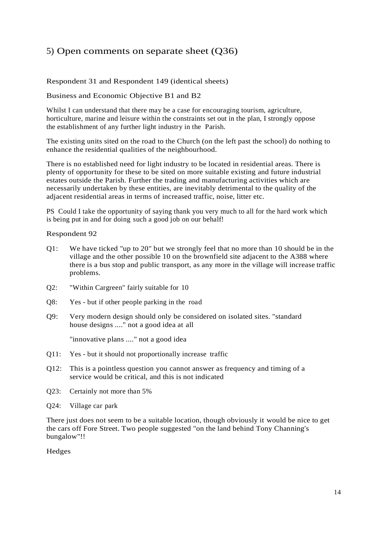## <span id="page-13-0"></span>5) Open comments on separate sheet (Q36)

## Respondent 31 and Respondent 149 (identical sheets)

### Business and Economic Objective B1 and B2

Whilst I can understand that there may be a case for encouraging tourism, agriculture, horticulture, marine and leisure within the constraints set out in the plan, I strongly oppose the establishment of any further light industry in the Parish.

The existing units sited on the road to the Church (on the left past the school) do nothing to enhance the residential qualities of the neighbourhood.

There is no established need for light industry to be located in residential areas. There is plenty of opportunity for these to be sited on more suitable existing and future industrial estates outside the Parish. Further the trading and manufacturing activities which are necessarily undertaken by these entities, are inevitably detrimental to the quality of the adjacent residential areas in terms of increased traffic, noise, litter etc.

PS Could I take the opportunity of saying thank you very much to all for the hard work which is being put in and for doing such a good job on our behalf!

Respondent 92

- Q1: We have ticked "up to 20" but we strongly feel that no more than 10 should be in the village and the other possible 10 on the brownfield site adjacent to the A388 where there is a bus stop and public transport, as any more in the village will increase traffic problems.
- Q2: "Within Cargreen" fairly suitable for 10
- Q8: Yes but if other people parking in the road
- Q9: Very modern design should only be considered on isolated sites. "standard house designs ...." not a good idea at all

"innovative plans ...." not a good idea

- Q11: Yes but it should not proportionally increase traffic
- Q12: This is a pointless question you cannot answer as frequency and timing of a service would be critical, and this is not indicated
- Q23: Certainly not more than 5%
- Q24: Village car park

There just does not seem to be a suitable location, though obviously it would be nice to get the cars off Fore Street. Two people suggested "on the land behind Tony Channing's bungalow"!!

Hedges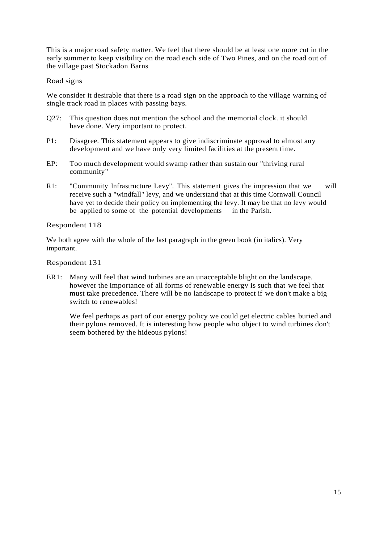This is a major road safety matter. We feel that there should be at least one more cut in the early summer to keep visibility on the road each side of Two Pines, and on the road out of the village past Stockadon Barns

### Road signs

We consider it desirable that there is a road sign on the approach to the village warning of single track road in places with passing bays.

- Q27: This question does not mention the school and the memorial clock. it should have done. Very important to protect.
- P1: Disagree. This statement appears to give indiscriminate approval to almost any development and we have only very limited facilities at the present time.
- EP: Too much development would swamp rather than sustain our "thriving rural community"
- R1: "Community Infrastructure Levy". This statement gives the impression that we will receive such a "windfall" levy, and we understand that at this time Cornwall Council have yet to decide their policy on implementing the levy. It may be that no levy would be applied to some of the potential developments in the Parish.

### Respondent 118

We both agree with the whole of the last paragraph in the green book (in italics). Very important.

Respondent 131

ER1: Many will feel that wind turbines are an unacceptable blight on the landscape. however the importance of all forms of renewable energy is such that we feel that must take precedence. There will be no landscape to protect if we don't make a big switch to renewables!

We feel perhaps as part of our energy policy we could get electric cables buried and their pylons removed. It is interesting how people who object to wind turbines don't seem bothered by the hideous pylons!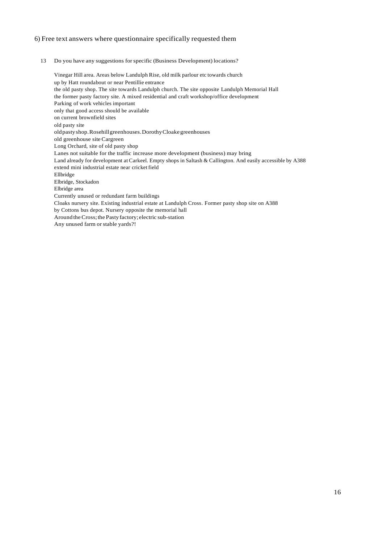### 6) Free text answers where questionnaire specifically requested them

13 Do you have any suggestions forspecific (Business Development) locations?

Vinegar Hill area. Areas below Landulph Rise, old milk parlour etc towards church up by Hatt roundabout or near Pentillie entrance the old pasty shop. The site towards Landulph church. The site opposite Landulph Memorial Hall the former pasty factory site. A mixed residential and craft workshop/office development Parking of work vehicles important only that good access should be available on current brownfield sites old pasty site oldpastyshop.Rosehillgreenhouses.DorothyCloakegreenhouses old greenhouse site Cargreen Long Orchard, site of old pasty shop Lanes not suitable for the traffic increase more development (business) may bring Land already for development at Carkeel. Empty shops in Saltash & Callington. And easily accessible by A388 extend mini industrial estate near cricket field Ellbridge Elbridge, Stockadon Elbridge area Currently unused or redundant farm buildings Cloaks nursery site. Existing industrial estate at Landulph Cross. Former pasty shop site on A388 by Cottons bus depot. Nursery opposite the memorial hall Around theCross;the Pasty factory; electric sub-station Any unused farm or stable yards?!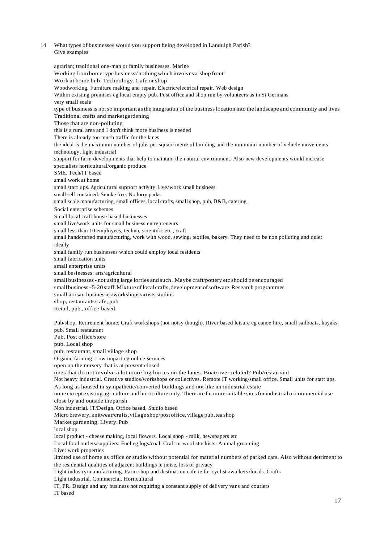14 What types of businesses would you support being developed in Landulph Parish? Give examples

### agrarian; traditional one-man or family businesses. Marine Working from home type business/ nothing which involves a 'shop front' Work at home hub. Technology. Cafe orshop Woodworking. Furniture making and repair. Electric/electrical repair. Web design Within existing premises eg local empty pub. Post office and shop run by volunteers as in St Germans very small scale type of business is not so important as the integration of the business location into the landscape and community and lives Traditional crafts and marketgardening Those that are non-polluting this is a rural area and I don't think more business is needed There is already too much traffic for the lanes the ideal is the maximum number of jobs per square metre of building and the minimum number of vehicle movements technology, light industrial support for farm developments that help to maintain the natural environment. Also new developments would increase specialists horticultural/organic produce SME. Tech/IT based small work at home small start ups. Agricultural support activity. Live/work small business small self contained. Smoke free. No lorry parks small scale manufacturing, small offices, local crafts, small shop, pub, B&B, catering Social enterprise schemes Small local craft house based businesses small live/work units for small business entrepreneurs small less than 10 employees, techno, scientific etc , craft small handcrafted manufacturing, work with wood, sewing, textiles, bakery. They need to be non polluting and quiet ideally small family run businesses which could employ local residents small fabrication units small enterprise units small businesses: arts/agricultural small businesses- not using large lorries and such . Maybe craft/pottery etc should be encouraged small business - 5-20 staff. Mixture of local crafts, development of software. Research programmes small artisan businesses/workshops/artists studios shop, restaurants/cafe, pub Retail, pub., office-based Pub/shop. Retirement home. Craft workshops (not noisy though). River based leisure eg canoe hire, small sailboats, kayaks pub. Small restaurant Pub. Post office/store pub. Local shop pub, restaurant, small village shop Organic farming. Low impact eg online services open up the nursery that is at present closed ones that do not involve a lot more big lorries on the lanes. Boat/river related? Pub/restaurant Not heavy industrial. Creative studios/workshops or collectives. Remote IT working/small office. Small units for start ups. As long as housed in sympathetic/converted buildings and not like an industrial estate none except existing agriculture and horticulture only.There are farmore suitable sitesforindustrial or commercial use close by and outside theparish Non industrial. IT/Design, Office based, Studio based Micro brewery, knitwear/crafts, village shop/post office, village pub, tea shop Market gardening. Livery.Pub local shop

local product - cheese making, local flowers. Local shop - milk, newspapers etc

Local food outlets/suppliers. Fuel eg logs/coal. Craft or wool stockists. Animal grooming

Live: work properties

limited use of home as office or studio without potential for material numbers of parked cars. Also without detriment to the residential qualities of adjacent buildings ie noise, loss of privacy

Light industry/manufacturing. Farm shop and destination cafe ie for cyclists/walkers/locals. Crafts

Light industrial. Commercial. Horticultural

IT, PR, Design and any business not requiring a constant supply of delivery vans and couriers IT based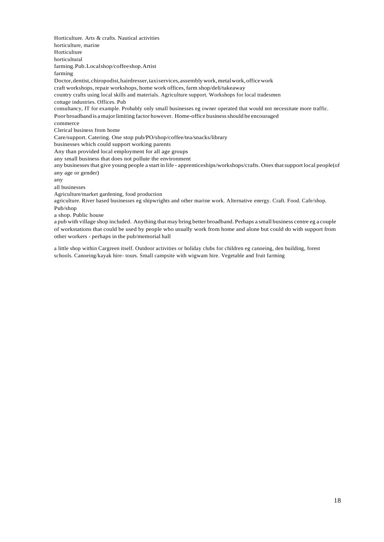Horticulture. Arts & crafts. Nautical activities horticulture, marine Horticulture horticultural farming.Pub.Localshop/coffeeshop.Artist farming Doctor, dentist, chiropodist, hairdresser, taxiservices, assembly work, metal work, office work craft workshops, repair workshops, home work offices, farm shop/deli/takeaway country crafts using local skills and materials. Agriculture support. Workshops for local tradesmen cottage industries. Offices. Pub consultancy, IT for example. Probably only small businesses eg owner operated that would not necessitate more traffic. Poor broadband is a major limiting factor however. Home-office business should be encouraged commerce Clerical business from home Care/support. Catering. One stop pub/PO/shop/coffee/tea/snacks/library businesses which could support working parents Any than provided local employment for all age groups any small business that does not pollute the environment any businessesthat give young people a start in life - apprenticeships/workshops/crafts. Onesthatsupport local people(of any age or gender) any all businesses Agriculture/market gardening, food production agriculture. River based businesses eg shipwrights and other marine work. Alternative energy. Craft. Food. Cafe/shop. Pub/shop a shop. Public house a pub with village shop included. Anything that may bring better broadband. Perhaps a small business centre eg a couple

of workstations that could be used by people who usually work from home and alone but could do with support from other workers - perhaps in the pub/memorial hall

a little shop within Cargreen itself. Outdoor activities or holiday clubs for children eg canoeing, den building, forest schools. Canoeing/kayak hire- tours. Small campsite with wigwam hire. Vegetable and fruit farming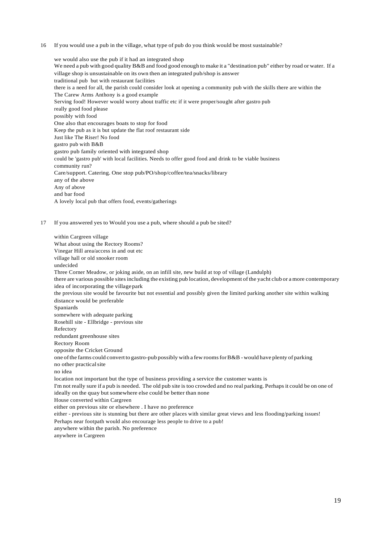16 If you would use a pub in the village, what type of pub do you think would be most sustainable?

we would also use the pub if it had an integrated shop We need a pub with good quality B&B and food good enough to make it a "destination pub" either by road or water. If a village shop is unsustainable on its own then an integrated pub/shop is answer traditional pub but with restaurant facilities there is a need for all, the parish could consider look at opening a community pub with the skills there are within the The Carew Arms Anthony is a good example Serving food! However would worry about traffic etc if it were proper/sought after gastro pub really good food please possibly with food One also that encourages boats to stop for food Keep the pub as it is but update the flat roof restaurant side Just like The Riser! No food gastro pub with B&B gastro pub family oriented with integrated shop could be 'gastro pub' with local facilities. Needs to offer good food and drink to be viable business community run? Care/support. Catering. One stop pub/PO/shop/coffee/tea/snacks/library any of the above Any of above and bar food A lovely local pub that offers food, events/gatherings

17 If you answered yes to Would you use a pub, where should a pub be sited?

| within Cargreen village                                                                                                    |
|----------------------------------------------------------------------------------------------------------------------------|
| What about using the Rectory Rooms?                                                                                        |
| Vinegar Hill area/access in and out etc                                                                                    |
| village hall or old snooker room                                                                                           |
| undecided                                                                                                                  |
| Three Corner Meadow, or joking aside, on an infill site, new build at top of village (Landulph)                            |
| there are various possible sites including the existing pub location, development of the yacht club or a more contemporary |
| idea of incorporating the village park                                                                                     |
| the previous site would be favourite but not essential and possibly given the limited parking another site within walking  |
| distance would be preferable                                                                                               |
| Spaniards                                                                                                                  |
| somewhere with adequate parking                                                                                            |
| Rosehill site - Ellbridge - previous site                                                                                  |
| Refectory                                                                                                                  |
| redundant greenhouse sites                                                                                                 |
| <b>Rectory Room</b>                                                                                                        |
| opposite the Cricket Ground                                                                                                |
| one of the farms could convert to gastro-pub possibly with a few rooms for B&B - would have plenty of parking              |
| no other practical site                                                                                                    |
| no idea                                                                                                                    |
| location not important but the type of business providing a service the customer wants is                                  |
| I'm not really sure if a pub is needed. The old pub site is too crowded and no real parking. Perhaps it could be on one of |
| ideally on the quay but somewhere else could be better than none                                                           |
| House converted within Cargreen                                                                                            |
| either on previous site or elsewhere . I have no preference                                                                |
| either - previous site is stunning but there are other places with similar great views and less flooding/parking issues!   |
| Perhaps near footpath would also encourage less people to drive to a pub!                                                  |
| anywhere within the parish. No preference                                                                                  |
| anywhere in Cargreen                                                                                                       |
|                                                                                                                            |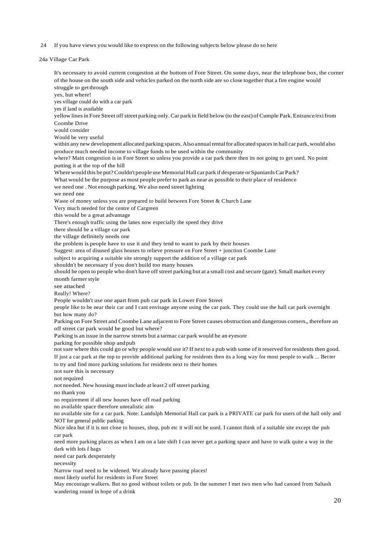24 If you have views you would like to express on the following subjects below please do so here

It's necessary to avoid current congestion at the bottom of Fore Street. On some days, near the telephone box, the corner

```
24a Village Car Park
```
20 of the house on the south side and vehicles parked on the north side are so close together that a fire engine would struggle to get through yes, but where! yes village could do with a car park yes if land is available yellow lines in Fore Street off street parking only. Car park in field below (to the east) of Cumple Park. Entrance/exi from Coombe Drive would consider Would be very useful within any new development allocated parking spaces. Also annual rental for allocated spaces in hall car park, would also produce much needed income to village funds to be used within the community where? Main congestion is in Fore Street so unless you provide a car park there then its not going to get used. No point putting it at the top of the hill Where would this be put? Couldn't people use Memorial Hall car park if desperate or Spaniards Car Park? What would be the purpose as most people prefer to park as near as possible to their place of residence we need one . Not enough parking. We also need street lighting we need one Waste of money unless you are prepared to build between Fore Street & Church Lane Very much needed for the centre of Cargreen this would be a great advantage There's enough traffic using the lanes now especially the speed they drive there should be a village car park the village definitely needs one the problem is people have to use it and they tend to want to park by their houses Suggest: area of disused glass houses to relieve pressure on Fore Street + junction Coombe Lane subject to acquiring a suitable site strongly support the addition of a village car park shouldn't be necessary if you don't build too many houses should be open to people who don't have off street parking but at a small cost and secure (gate). Small market every month farmer style see attached Really! Where? People wouldn't use one apart from pub car park in Lower Fore Street people like to be near their car and I cant envisage anyone using the car park. They could use the hall car park overnight but how many do? Parking on Fore Street and Coombe Lane adjacent to Fore Street causes obstruction and dangerous corners,, therefore an off street car park would be good but where? Parking is an issue in the narrow streets but a tarmac car park would be an eyesore parking for possible shop andpub notsure where this could go or why people would use it? If next to a pub with some of it reserved for residents then good. If just a car park at the top to provide additional parking for residents then its a long way for most people to walk ... Better to try and find more parking solutions for residents next to their homes not sure this is necessary not required not needed. New housing must include at least 2 off street parking no thank you no requirement if all new houses have off road parking no available space therefore unrealistic aim no available site for a car park. Note: Landulph Memorial Hall car park is a PRIVATE car park for users of the hall only and NOT for general public parking Nice idea but if it is not close to houses, shop, pub etc it will not be used. I cannot think of a suitable site except the pub car park need more parking places as when I am on a late shift I can never get a parking space and have to walk quite a way in the dark with lots f bags need car park desperately necessity Narrow road need to be widened. We already have passing places! most likely useful for residents in Fore Street May encourage walkers. But no good without toilets or pub. In the summer I met two men who had canoed from Saltash wandering round in hope of a drink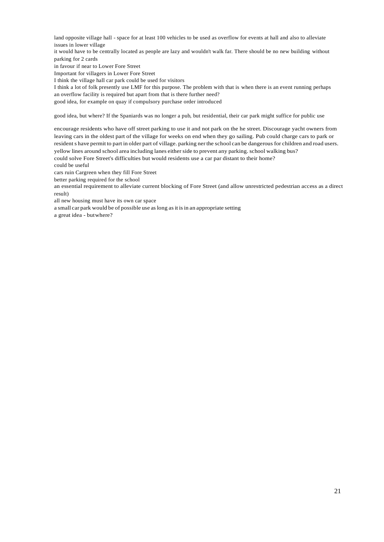land opposite village hall - space for at least 100 vehicles to be used as overflow for events at hall and also to alleviate issues in lower village

it would have to be centrally located as people are lazy and wouldn't walk far. There should be no new building without parking for 2 cards

in favour if near to Lower Fore Street

Important for villagers in Lower Fore Street

I think the village hall car park could be used for visitors

I think a lot of folk presently use LMF for this purpose. The problem with that is when there is an event running perhaps an overflow facility is required but apart from that is there further need?

good idea, for example on quay if compulsory purchase order introduced

good idea, but where? If the Spaniards was no longer a pub, but residential, their car park might suffice for public use

encourage residents who have off street parking to use it and not park on the he street. Discourage yacht owners from leaving cars in the oldest part of the village for weeks on end when they go sailing. Pub could charge cars to park or residents have permit to part in older part of village. parking nerthe school can be dangerous for children and road users. yellow lines around school area including lanes either side to prevent any parking. school walking bus?

could solve Fore Street's difficulties but would residents use a car par distant to their home?

could be useful

cars ruin Cargreen when they fill Fore Street

better parking required for the school

an essential requirement to alleviate current blocking of Fore Street (and allow unrestricted pedestrian access as a direct result)

all new housing must have its own car space

a small car park would be of possible use as long as it is in an appropriate setting

a great idea - butwhere?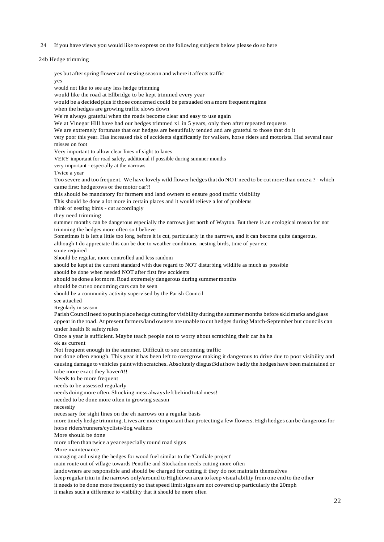24 If you have views you would like to express on the following subjects below please do so here

24b Hedge trimming

yes but after spring flower and nesting season and where it affects traffic yes would not like to see any less hedge trimming would like the road at Ellbridge to be kept trimmed every year would be a decided plus if those concerned could be persuaded on a more frequent regime when the hedges are growing traffic slows down We're always grateful when the roads become clear and easy to use again We at Vinegar Hill have had our hedges trimmed x1 in 5 years, only then after repeated requests We are extremely fortunate that our hedges are beautifully tended and are grateful to those that do it very poor this year. Has increased risk of accidents significantly for walkers, horse riders and motorists. Had several near misses on foot Very important to allow clear lines of sight to lanes VERY important for road safety, additional if possible during summer months very important - especially at the narrows Twice a year Too severe and too frequent. We have lovely wild flower hedges that do NOT need to be cut more than once a ? - which came first: hedgerows or the motor car?! this should be mandatory for farmers and land owners to ensure good traffic visibility This should be done a lot more in certain places and it would relieve a lot of problems think of nesting birds - cut accordingly they need trimming summer months can be dangerous especially the narrows just north of Wayton. But there is an ecological reason for not trimming the hedges more often so I believe Sometimes it is left a little too long before it is cut, particularly in the narrows, and it can become quite dangerous, although I do appreciate this can be due to weather conditions, nesting birds, time of year etc some required Should be regular, more controlled and less random should be kept at the current standard with due regard to NOT disturbing wildlife as much as possible should be done when needed NOT after first few accidents should be done a lot more. Road extremely dangerous during summer months should be cut so oncoming cars can be seen should be a community activity supervised by the Parish Council see attached Regularly in season ParishCouncil need to putin place hedge cutting for visibility during the summermonths before skid marks and glass appear in the road. At present farmers/land owners are unable to cut hedges during March-September but councils can under health & safetyrules Once a year is sufficient. Maybe teach people not to worry about scratching their car ha ha ok as current Not frequent enough in the summer. Difficult to see oncoming traffic not done often enough. This year it has been left to overgrow making it dangerous to drive due to poor visibility and causing damage to vehicles paintwith scratches.Absolutely disgust3d at how badly the hedges have been maintained or tobe more exact they haven't!! Needs to be more frequent needs to be assessed regularly needs doing more often. Shocking mess always left behind total mess! needed to be done more often in growing season necessity necessary for sight lines on the eh narrows on a regular basis more timely hedge trimming.Lives are more important than protecting a few flowers. High hedges can be dangerousfor horse riders/runners/cyclists/dog walkers More should be done more often than twice a year especially round road signs More maintenance managing and using the hedges for wood fuel similar to the 'Cordiale project' main route out of village towards Pentillie and Stockadon needs cutting more often landowners are responsible and should be charged for cutting if they do not maintain themselves keep regulartrim in the narrows only/around to Highdown area to keep visual ability from one end to the other it needs to be done more frequently so that speed limit signs are not covered up particularly the 20mph it makes such a difference to visibility that it should be more often